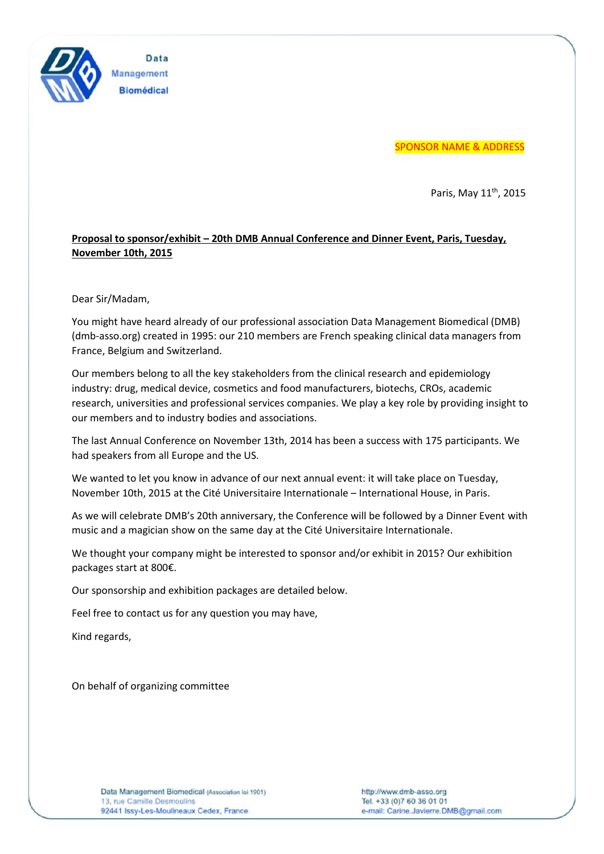

Data Management **Biomédical** 

SPONSOR NAME & ADDRESS

Paris, May 11<sup>th</sup>, 2015

## **Proposal to sponsor/exhibit – 20th DMB Annual Conference and Dinner Event, Paris, Tuesday, November 10th, 2015**

Dear Sir/Madam,

You might have heard already of our professional association Data Management Biomedical (DMB) (dmb-asso.org) created in 1995: our 210 members are French speaking clinical data managers from France, Belgium and Switzerland.

Our members belong to all the key stakeholders from the clinical research and epidemiology industry: drug, medical device, cosmetics and food manufacturers, biotechs, CROs, academic research, universities and professional services companies. We play a key role by providing insight to our members and to industry bodies and associations.

The last Annual Conference on November 13th, 2014 has been a success with 175 participants. We had speakers from all Europe and the US.

We wanted to let you know in advance of our next annual event: it will take place on Tuesday, November 10th, 2015 at the Cité Universitaire Internationale – International House, in Paris.

As we will celebrate DMB's 20th anniversary, the Conference will be followed by a Dinner Event with music and a magician show on the same day at the Cité Universitaire Internationale.

We thought your company might be interested to sponsor and/or exhibit in 2015? Our exhibition packages start at 800€.

Our sponsorship and exhibition packages are detailed below.

Feel free to contact us for any question you may have,

Kind regards,

On behalf of organizing committee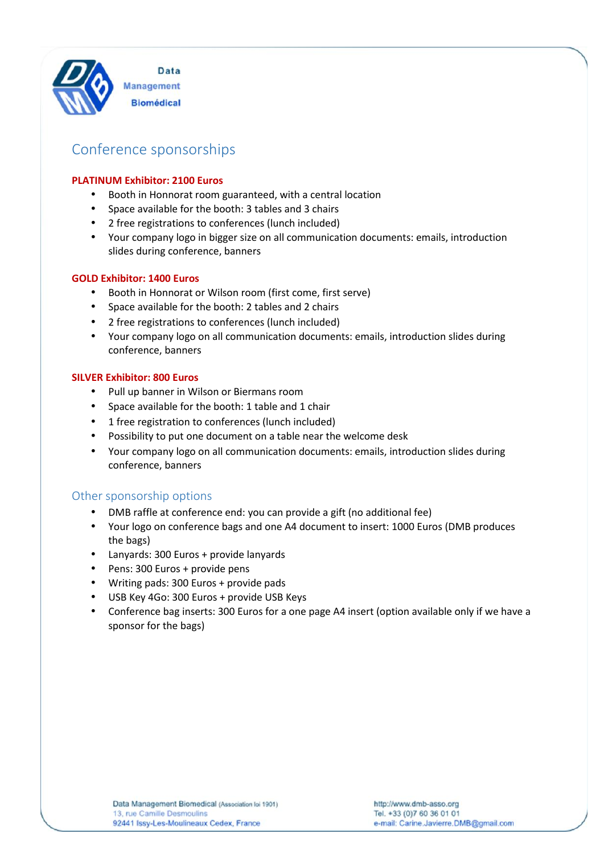

# Conference sponsorships

#### **PLATINUM Exhibitor: 2100 Euros**

- Booth in Honnorat room guaranteed, with a central location
- Space available for the booth: 3 tables and 3 chairs
- 2 free registrations to conferences (lunch included)
- Your company logo in bigger size on all communication documents: emails, introduction slides during conference, banners

#### **GOLD Exhibitor: 1400 Euros**

- Booth in Honnorat or Wilson room (first come, first serve)
- Space available for the booth: 2 tables and 2 chairs
- 2 free registrations to conferences (lunch included)
- Your company logo on all communication documents: emails, introduction slides during conference, banners

#### **SILVER Exhibitor: 800 Euros**

- Pull up banner in Wilson or Biermans room
- Space available for the booth: 1 table and 1 chair
- 1 free registration to conferences (lunch included)
- Possibility to put one document on a table near the welcome desk
- Your company logo on all communication documents: emails, introduction slides during conference, banners

## Other sponsorship options

- DMB raffle at conference end: you can provide a gift (no additional fee)
- Your logo on conference bags and one A4 document to insert: 1000 Euros (DMB produces the bags)
- Lanyards: 300 Euros + provide lanyards
- Pens: 300 Euros + provide pens
- Writing pads: 300 Euros + provide pads
- USB Key 4Go: 300 Euros + provide USB Keys
- Conference bag inserts: 300 Euros for a one page A4 insert (option available only if we have a sponsor for the bags)